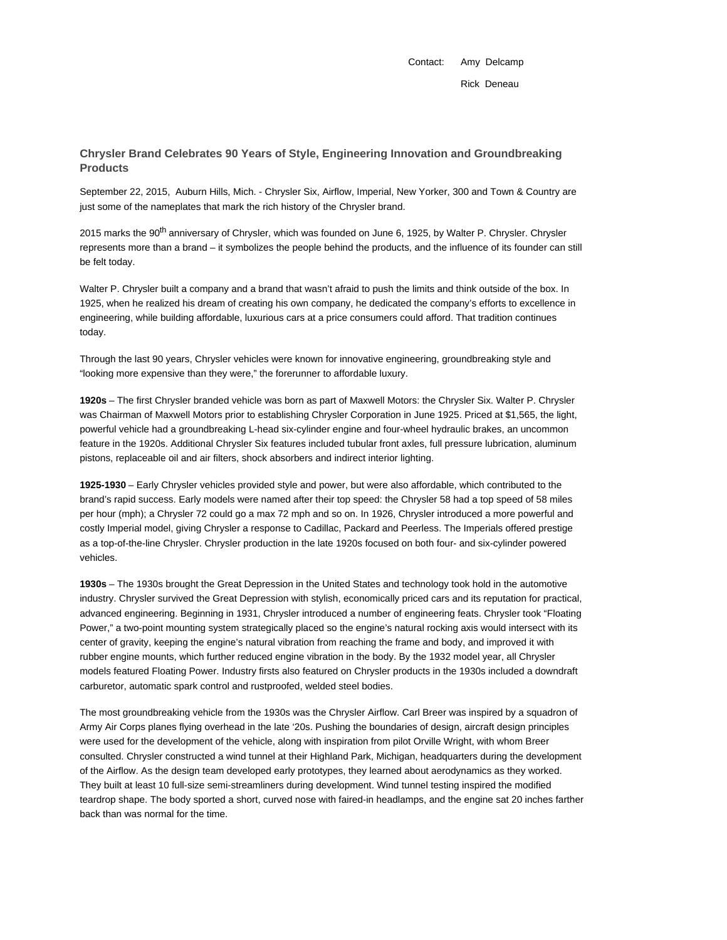Contact: Amy Delcamp Rick Deneau

## **Chrysler Brand Celebrates 90 Years of Style, Engineering Innovation and Groundbreaking Products**

September 22, 2015, Auburn Hills, Mich. - Chrysler Six, Airflow, Imperial, New Yorker, 300 and Town & Country are just some of the nameplates that mark the rich history of the Chrysler brand.

2015 marks the 90<sup>th</sup> anniversary of Chrysler, which was founded on June 6, 1925, by Walter P. Chrysler. Chrysler represents more than a brand – it symbolizes the people behind the products, and the influence of its founder can still be felt today.

Walter P. Chrysler built a company and a brand that wasn't afraid to push the limits and think outside of the box. In 1925, when he realized his dream of creating his own company, he dedicated the company's efforts to excellence in engineering, while building affordable, luxurious cars at a price consumers could afford. That tradition continues today.

Through the last 90 years, Chrysler vehicles were known for innovative engineering, groundbreaking style and "looking more expensive than they were," the forerunner to affordable luxury.

**1920s** – The first Chrysler branded vehicle was born as part of Maxwell Motors: the Chrysler Six. Walter P. Chrysler was Chairman of Maxwell Motors prior to establishing Chrysler Corporation in June 1925. Priced at \$1,565, the light, powerful vehicle had a groundbreaking L-head six-cylinder engine and four-wheel hydraulic brakes, an uncommon feature in the 1920s. Additional Chrysler Six features included tubular front axles, full pressure lubrication, aluminum pistons, replaceable oil and air filters, shock absorbers and indirect interior lighting.

**1925-1930** – Early Chrysler vehicles provided style and power, but were also affordable, which contributed to the brand's rapid success. Early models were named after their top speed: the Chrysler 58 had a top speed of 58 miles per hour (mph); a Chrysler 72 could go a max 72 mph and so on. In 1926, Chrysler introduced a more powerful and costly Imperial model, giving Chrysler a response to Cadillac, Packard and Peerless. The Imperials offered prestige as a top-of-the-line Chrysler. Chrysler production in the late 1920s focused on both four- and six-cylinder powered vehicles.

**1930s** – The 1930s brought the Great Depression in the United States and technology took hold in the automotive industry. Chrysler survived the Great Depression with stylish, economically priced cars and its reputation for practical, advanced engineering. Beginning in 1931, Chrysler introduced a number of engineering feats. Chrysler took "Floating Power," a two-point mounting system strategically placed so the engine's natural rocking axis would intersect with its center of gravity, keeping the engine's natural vibration from reaching the frame and body, and improved it with rubber engine mounts, which further reduced engine vibration in the body. By the 1932 model year, all Chrysler models featured Floating Power. Industry firsts also featured on Chrysler products in the 1930s included a downdraft carburetor, automatic spark control and rustproofed, welded steel bodies.

The most groundbreaking vehicle from the 1930s was the Chrysler Airflow. Carl Breer was inspired by a squadron of Army Air Corps planes flying overhead in the late '20s. Pushing the boundaries of design, aircraft design principles were used for the development of the vehicle, along with inspiration from pilot Orville Wright, with whom Breer consulted. Chrysler constructed a wind tunnel at their Highland Park, Michigan, headquarters during the development of the Airflow. As the design team developed early prototypes, they learned about aerodynamics as they worked. They built at least 10 full-size semi-streamliners during development. Wind tunnel testing inspired the modified teardrop shape. The body sported a short, curved nose with faired-in headlamps, and the engine sat 20 inches farther back than was normal for the time.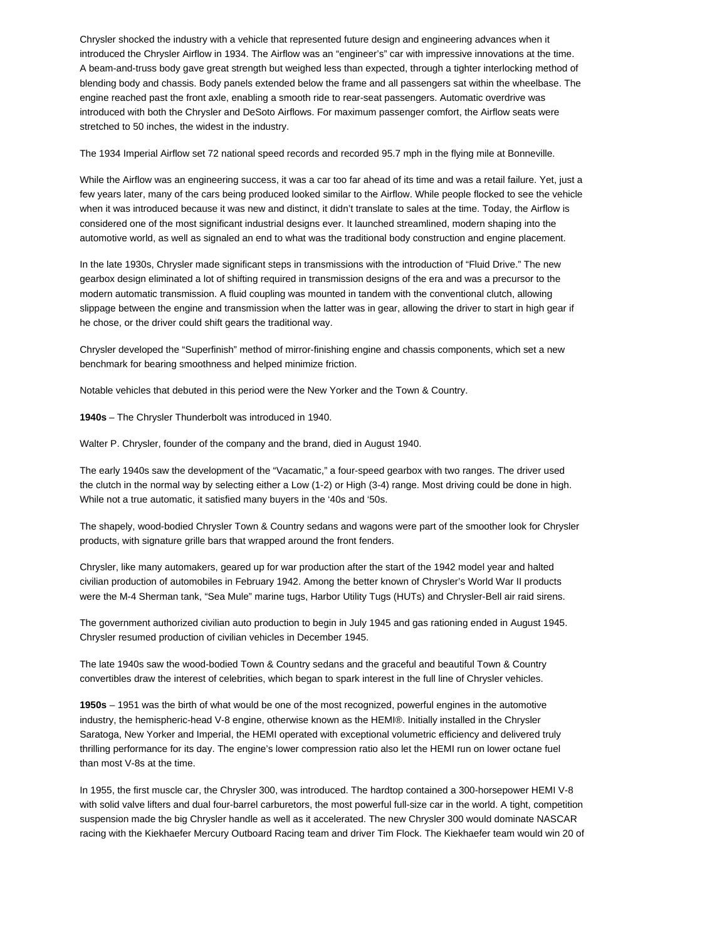Chrysler shocked the industry with a vehicle that represented future design and engineering advances when it introduced the Chrysler Airflow in 1934. The Airflow was an "engineer's" car with impressive innovations at the time. A beam-and-truss body gave great strength but weighed less than expected, through a tighter interlocking method of blending body and chassis. Body panels extended below the frame and all passengers sat within the wheelbase. The engine reached past the front axle, enabling a smooth ride to rear-seat passengers. Automatic overdrive was introduced with both the Chrysler and DeSoto Airflows. For maximum passenger comfort, the Airflow seats were stretched to 50 inches, the widest in the industry.

The 1934 Imperial Airflow set 72 national speed records and recorded 95.7 mph in the flying mile at Bonneville.

While the Airflow was an engineering success, it was a car too far ahead of its time and was a retail failure. Yet, just a few years later, many of the cars being produced looked similar to the Airflow. While people flocked to see the vehicle when it was introduced because it was new and distinct, it didn't translate to sales at the time. Today, the Airflow is considered one of the most significant industrial designs ever. It launched streamlined, modern shaping into the automotive world, as well as signaled an end to what was the traditional body construction and engine placement.

In the late 1930s, Chrysler made significant steps in transmissions with the introduction of "Fluid Drive." The new gearbox design eliminated a lot of shifting required in transmission designs of the era and was a precursor to the modern automatic transmission. A fluid coupling was mounted in tandem with the conventional clutch, allowing slippage between the engine and transmission when the latter was in gear, allowing the driver to start in high gear if he chose, or the driver could shift gears the traditional way.

Chrysler developed the "Superfinish" method of mirror-finishing engine and chassis components, which set a new benchmark for bearing smoothness and helped minimize friction.

Notable vehicles that debuted in this period were the New Yorker and the Town & Country.

**1940s** – The Chrysler Thunderbolt was introduced in 1940.

Walter P. Chrysler, founder of the company and the brand, died in August 1940.

The early 1940s saw the development of the "Vacamatic," a four-speed gearbox with two ranges. The driver used the clutch in the normal way by selecting either a Low (1-2) or High (3-4) range. Most driving could be done in high. While not a true automatic, it satisfied many buyers in the '40s and '50s.

The shapely, wood-bodied Chrysler Town & Country sedans and wagons were part of the smoother look for Chrysler products, with signature grille bars that wrapped around the front fenders.

Chrysler, like many automakers, geared up for war production after the start of the 1942 model year and halted civilian production of automobiles in February 1942. Among the better known of Chrysler's World War II products were the M-4 Sherman tank, "Sea Mule" marine tugs, Harbor Utility Tugs (HUTs) and Chrysler-Bell air raid sirens.

The government authorized civilian auto production to begin in July 1945 and gas rationing ended in August 1945. Chrysler resumed production of civilian vehicles in December 1945.

The late 1940s saw the wood-bodied Town & Country sedans and the graceful and beautiful Town & Country convertibles draw the interest of celebrities, which began to spark interest in the full line of Chrysler vehicles.

**1950s** – 1951 was the birth of what would be one of the most recognized, powerful engines in the automotive industry, the hemispheric-head V-8 engine, otherwise known as the HEMI®. Initially installed in the Chrysler Saratoga, New Yorker and Imperial, the HEMI operated with exceptional volumetric efficiency and delivered truly thrilling performance for its day. The engine's lower compression ratio also let the HEMI run on lower octane fuel than most V-8s at the time.

In 1955, the first muscle car, the Chrysler 300, was introduced. The hardtop contained a 300-horsepower HEMI V-8 with solid valve lifters and dual four-barrel carburetors, the most powerful full-size car in the world. A tight, competition suspension made the big Chrysler handle as well as it accelerated. The new Chrysler 300 would dominate NASCAR racing with the Kiekhaefer Mercury Outboard Racing team and driver Tim Flock. The Kiekhaefer team would win 20 of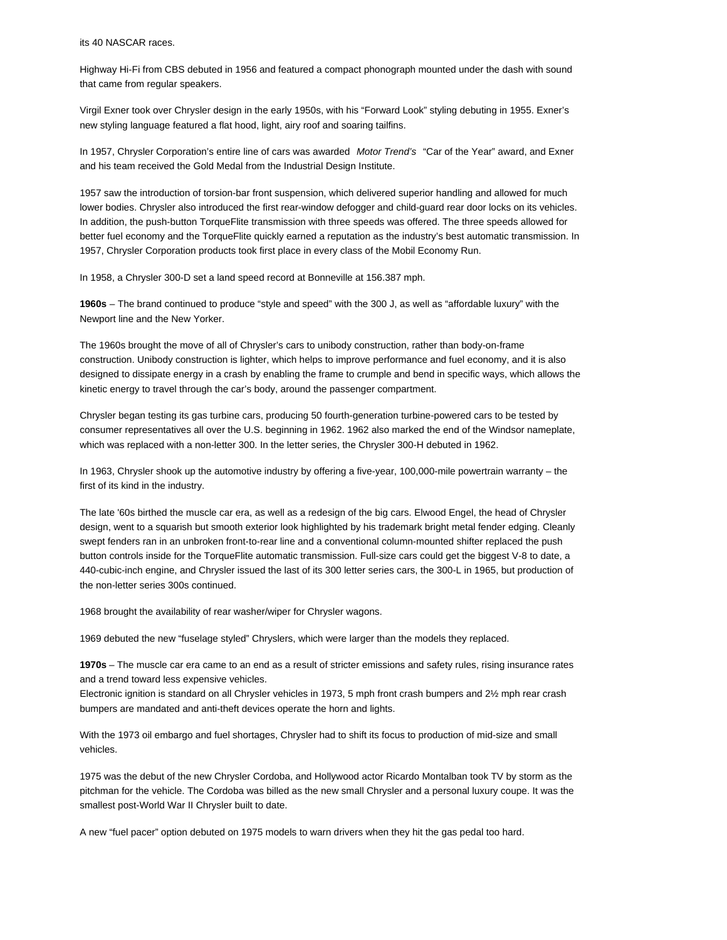its 40 NASCAR races.

Highway Hi-Fi from CBS debuted in 1956 and featured a compact phonograph mounted under the dash with sound that came from regular speakers.

Virgil Exner took over Chrysler design in the early 1950s, with his "Forward Look" styling debuting in 1955. Exner's new styling language featured a flat hood, light, airy roof and soaring tailfins.

In 1957, Chrysler Corporation's entire line of cars was awarded Motor Trend's "Car of the Year" award, and Exner and his team received the Gold Medal from the Industrial Design Institute.

1957 saw the introduction of torsion-bar front suspension, which delivered superior handling and allowed for much lower bodies. Chrysler also introduced the first rear-window defogger and child-guard rear door locks on its vehicles. In addition, the push-button TorqueFlite transmission with three speeds was offered. The three speeds allowed for better fuel economy and the TorqueFlite quickly earned a reputation as the industry's best automatic transmission. In 1957, Chrysler Corporation products took first place in every class of the Mobil Economy Run.

In 1958, a Chrysler 300-D set a land speed record at Bonneville at 156.387 mph.

**1960s** – The brand continued to produce "style and speed" with the 300 J, as well as "affordable luxury" with the Newport line and the New Yorker.

The 1960s brought the move of all of Chrysler's cars to unibody construction, rather than body-on-frame construction. Unibody construction is lighter, which helps to improve performance and fuel economy, and it is also designed to dissipate energy in a crash by enabling the frame to crumple and bend in specific ways, which allows the kinetic energy to travel through the car's body, around the passenger compartment.

Chrysler began testing its gas turbine cars, producing 50 fourth-generation turbine-powered cars to be tested by consumer representatives all over the U.S. beginning in 1962. 1962 also marked the end of the Windsor nameplate, which was replaced with a non-letter 300. In the letter series, the Chrysler 300-H debuted in 1962.

In 1963, Chrysler shook up the automotive industry by offering a five-year, 100,000-mile powertrain warranty – the first of its kind in the industry.

The late '60s birthed the muscle car era, as well as a redesign of the big cars. Elwood Engel, the head of Chrysler design, went to a squarish but smooth exterior look highlighted by his trademark bright metal fender edging. Cleanly swept fenders ran in an unbroken front-to-rear line and a conventional column-mounted shifter replaced the push button controls inside for the TorqueFlite automatic transmission. Full-size cars could get the biggest V-8 to date, a 440-cubic-inch engine, and Chrysler issued the last of its 300 letter series cars, the 300-L in 1965, but production of the non-letter series 300s continued.

1968 brought the availability of rear washer/wiper for Chrysler wagons.

1969 debuted the new "fuselage styled" Chryslers, which were larger than the models they replaced.

**1970s** – The muscle car era came to an end as a result of stricter emissions and safety rules, rising insurance rates and a trend toward less expensive vehicles.

Electronic ignition is standard on all Chrysler vehicles in 1973, 5 mph front crash bumpers and 2½ mph rear crash bumpers are mandated and anti-theft devices operate the horn and lights.

With the 1973 oil embargo and fuel shortages, Chrysler had to shift its focus to production of mid-size and small vehicles.

1975 was the debut of the new Chrysler Cordoba, and Hollywood actor Ricardo Montalban took TV by storm as the pitchman for the vehicle. The Cordoba was billed as the new small Chrysler and a personal luxury coupe. It was the smallest post-World War II Chrysler built to date.

A new "fuel pacer" option debuted on 1975 models to warn drivers when they hit the gas pedal too hard.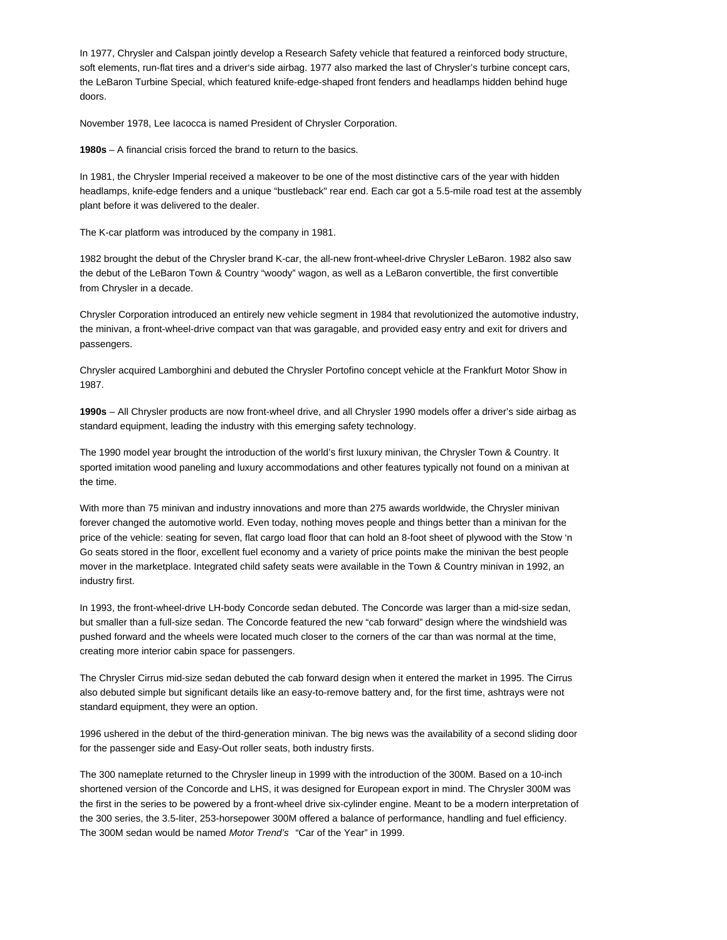In 1977, Chrysler and Calspan jointly develop a Research Safety vehicle that featured a reinforced body structure, soft elements, run-flat tires and a driver's side airbag. 1977 also marked the last of Chrysler's turbine concept cars, the LeBaron Turbine Special, which featured knife-edge-shaped front fenders and headlamps hidden behind huge doors.

November 1978, Lee Iacocca is named President of Chrysler Corporation.

**1980s** – A financial crisis forced the brand to return to the basics.

In 1981, the Chrysler Imperial received a makeover to be one of the most distinctive cars of the year with hidden headlamps, knife-edge fenders and a unique "bustleback" rear end. Each car got a 5.5-mile road test at the assembly plant before it was delivered to the dealer.

The K-car platform was introduced by the company in 1981.

1982 brought the debut of the Chrysler brand K-car, the all-new front-wheel-drive Chrysler LeBaron. 1982 also saw the debut of the LeBaron Town & Country "woody" wagon, as well as a LeBaron convertible, the first convertible from Chrysler in a decade.

Chrysler Corporation introduced an entirely new vehicle segment in 1984 that revolutionized the automotive industry, the minivan, a front-wheel-drive compact van that was garagable, and provided easy entry and exit for drivers and passengers.

Chrysler acquired Lamborghini and debuted the Chrysler Portofino concept vehicle at the Frankfurt Motor Show in 1987.

**1990s** – All Chrysler products are now front-wheel drive, and all Chrysler 1990 models offer a driver's side airbag as standard equipment, leading the industry with this emerging safety technology.

The 1990 model year brought the introduction of the world's first luxury minivan, the Chrysler Town & Country. It sported imitation wood paneling and luxury accommodations and other features typically not found on a minivan at the time.

With more than 75 minivan and industry innovations and more than 275 awards worldwide, the Chrysler minivan forever changed the automotive world. Even today, nothing moves people and things better than a minivan for the price of the vehicle: seating for seven, flat cargo load floor that can hold an 8-foot sheet of plywood with the Stow 'n Go seats stored in the floor, excellent fuel economy and a variety of price points make the minivan the best people mover in the marketplace. Integrated child safety seats were available in the Town & Country minivan in 1992, an industry first.

In 1993, the front-wheel-drive LH-body Concorde sedan debuted. The Concorde was larger than a mid-size sedan, but smaller than a full-size sedan. The Concorde featured the new "cab forward" design where the windshield was pushed forward and the wheels were located much closer to the corners of the car than was normal at the time, creating more interior cabin space for passengers.

The Chrysler Cirrus mid-size sedan debuted the cab forward design when it entered the market in 1995. The Cirrus also debuted simple but significant details like an easy-to-remove battery and, for the first time, ashtrays were not standard equipment, they were an option.

1996 ushered in the debut of the third-generation minivan. The big news was the availability of a second sliding door for the passenger side and Easy-Out roller seats, both industry firsts.

The 300 nameplate returned to the Chrysler lineup in 1999 with the introduction of the 300M. Based on a 10-inch shortened version of the Concorde and LHS, it was designed for European export in mind. The Chrysler 300M was the first in the series to be powered by a front-wheel drive six-cylinder engine. Meant to be a modern interpretation of the 300 series, the 3.5-liter, 253-horsepower 300M offered a balance of performance, handling and fuel efficiency. The 300M sedan would be named Motor Trend's "Car of the Year" in 1999.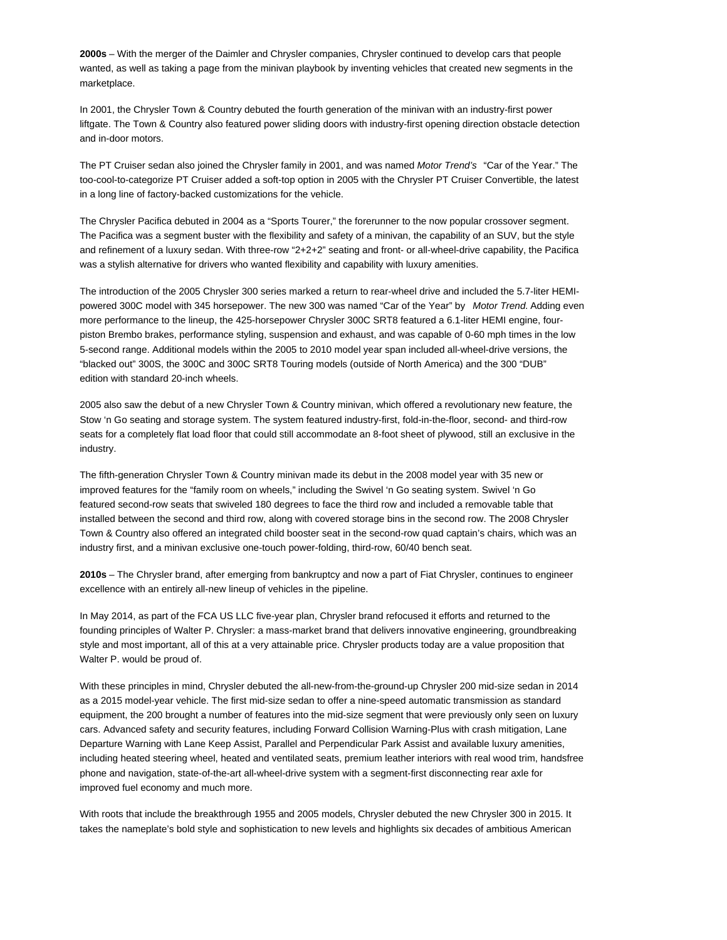**2000s** – With the merger of the Daimler and Chrysler companies, Chrysler continued to develop cars that people wanted, as well as taking a page from the minivan playbook by inventing vehicles that created new segments in the marketplace.

In 2001, the Chrysler Town & Country debuted the fourth generation of the minivan with an industry-first power liftgate. The Town & Country also featured power sliding doors with industry-first opening direction obstacle detection and in-door motors.

The PT Cruiser sedan also joined the Chrysler family in 2001, and was named Motor Trend's "Car of the Year." The too-cool-to-categorize PT Cruiser added a soft-top option in 2005 with the Chrysler PT Cruiser Convertible, the latest in a long line of factory-backed customizations for the vehicle.

The Chrysler Pacifica debuted in 2004 as a "Sports Tourer," the forerunner to the now popular crossover segment. The Pacifica was a segment buster with the flexibility and safety of a minivan, the capability of an SUV, but the style and refinement of a luxury sedan. With three-row "2+2+2" seating and front- or all-wheel-drive capability, the Pacifica was a stylish alternative for drivers who wanted flexibility and capability with luxury amenities.

The introduction of the 2005 Chrysler 300 series marked a return to rear-wheel drive and included the 5.7-liter HEMIpowered 300C model with 345 horsepower. The new 300 was named "Car of the Year" by Motor Trend. Adding even more performance to the lineup, the 425-horsepower Chrysler 300C SRT8 featured a 6.1-liter HEMI engine, fourpiston Brembo brakes, performance styling, suspension and exhaust, and was capable of 0-60 mph times in the low 5-second range. Additional models within the 2005 to 2010 model year span included all-wheel-drive versions, the "blacked out" 300S, the 300C and 300C SRT8 Touring models (outside of North America) and the 300 "DUB" edition with standard 20-inch wheels.

2005 also saw the debut of a new Chrysler Town & Country minivan, which offered a revolutionary new feature, the Stow 'n Go seating and storage system. The system featured industry-first, fold-in-the-floor, second- and third-row seats for a completely flat load floor that could still accommodate an 8-foot sheet of plywood, still an exclusive in the industry.

The fifth-generation Chrysler Town & Country minivan made its debut in the 2008 model year with 35 new or improved features for the "family room on wheels," including the Swivel 'n Go seating system. Swivel 'n Go featured second-row seats that swiveled 180 degrees to face the third row and included a removable table that installed between the second and third row, along with covered storage bins in the second row. The 2008 Chrysler Town & Country also offered an integrated child booster seat in the second-row quad captain's chairs, which was an industry first, and a minivan exclusive one-touch power-folding, third-row, 60/40 bench seat.

**2010s** – The Chrysler brand, after emerging from bankruptcy and now a part of Fiat Chrysler, continues to engineer excellence with an entirely all-new lineup of vehicles in the pipeline.

In May 2014, as part of the FCA US LLC five-year plan, Chrysler brand refocused it efforts and returned to the founding principles of Walter P. Chrysler: a mass-market brand that delivers innovative engineering, groundbreaking style and most important, all of this at a very attainable price. Chrysler products today are a value proposition that Walter P. would be proud of.

With these principles in mind, Chrysler debuted the all-new-from-the-ground-up Chrysler 200 mid-size sedan in 2014 as a 2015 model-year vehicle. The first mid-size sedan to offer a nine-speed automatic transmission as standard equipment, the 200 brought a number of features into the mid-size segment that were previously only seen on luxury cars. Advanced safety and security features, including Forward Collision Warning-Plus with crash mitigation, Lane Departure Warning with Lane Keep Assist, Parallel and Perpendicular Park Assist and available luxury amenities, including heated steering wheel, heated and ventilated seats, premium leather interiors with real wood trim, handsfree phone and navigation, state-of-the-art all-wheel-drive system with a segment-first disconnecting rear axle for improved fuel economy and much more.

With roots that include the breakthrough 1955 and 2005 models, Chrysler debuted the new Chrysler 300 in 2015. It takes the nameplate's bold style and sophistication to new levels and highlights six decades of ambitious American